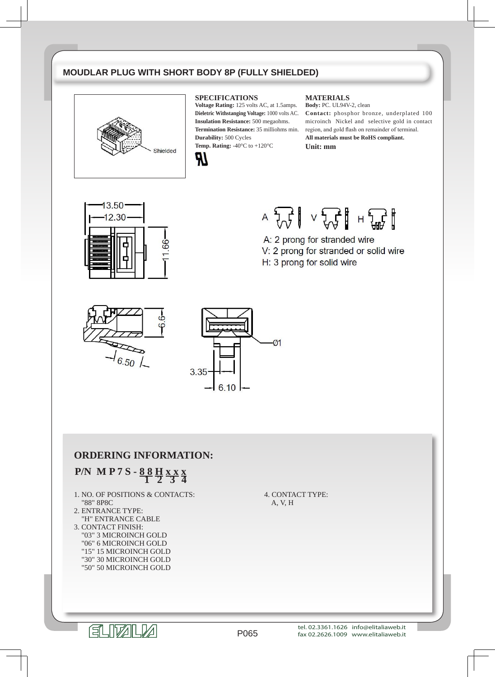## **MOUDLAR PLUG WITH SHORT BODY 8P (FULLY SHIELDED)**



#### **SPECIFICATIONS**

**Voltage Rating:** 125 volts AC, at 1.5amps. **Dieletric Withstanging Voltage:** 1000 volts AC. **Insulation Resistance:** 500 megaohms. **Termination Resistance:** 35 milliohms min. **Durability:** 500 Cycles **Temp. Rating:** -40°C to +120°C



#### **MATERIALS**

**Body:** PC. UL94V-2, clean **Contact:** phosphor bronze, underplated 100 microinch Nickel and selective gold in contact region, and gold flash on remainder of terminal. **All materials must be RoHS compliant. Unit: mm**



# $A \begin{array}{c}\n\downarrow \\
\downarrow \\
\downarrow \\
\downarrow\n\end{array} \quad \vee \begin{array}{c}\n\downarrow \\
\downarrow \\
\downarrow \\
\downarrow \\
\downarrow\n\end{array} \quad \vdash \begin{array}{c}\n\downarrow \\
\downarrow \\
\downarrow \\
\downarrow \\
\downarrow\n\end{array}$

- A: 2 prong for stranded wire
- V: 2 prong for stranded or solid wire
- H: 3 prong for solid wire





### **ORDERING INFORMATION:**

## **P/N M P 7 S - 8 8 <sup>H</sup> x x x 1 2 3 4**

- 1. NO. OF POSITIONS & CONTACTS: "88" 8P8C
- 2. ENTRANCE TYPE: "H" ENTRANCE CABLE
- 3. CONTACT FINISH: "03" 3 MICROINCH GOLD "06" 6 MICROINCH GOLD "15" 15 MICROINCH GOLD "30" 30 MICROINCH GOLD "50" 50 MICROINCH GOLD

4. CONTACT TYPE: A, V, H



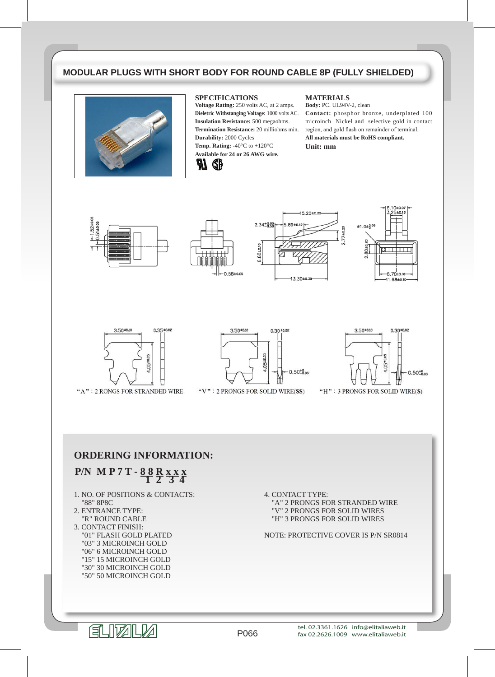## **MODULAR PLUGS WITH SHORT BODY FOR ROUND CABLE 8P (FULLY SHIELDED)**



#### **SPECIFICATIONS**

**Voltage Rating:** 250 volts AC, at 2 amps. **Dieletric Withstanging Voltage:** 1000 volts AC. **Insulation Resistance:** 500 megaohms. **Termination Resistance:** 20 milliohms min. **Durability:** 2000 Cycles **Temp. Rating:** -40°C to +120°C **Available for 24 or 26 AWG wire.**



#### **MATERIALS**

**Body:** PC. UL94V-2, clean **Contact:** phosphor bronze, underplated 100 microinch Nickel and selective gold in contact region, and gold flash on remainder of terminal. **All materials must be RoHS compliant. Unit: mm**











"A": 2 RONGS FOR STRANDED WIRE



"V": 2 PRONGS FOR SOLID WIRE(SS)



"H": 3 PRONGS FOR SOLID WIRE(S)

### **ORDERING INFORMATION:**

## **P/N M P 7 T - 8 8 <sup>R</sup> x x x 1 2 3 4**

- 1. NO. OF POSITIONS & CONTACTS: "88" 8P8C
- 2. ENTRANCE TYPE: "R" ROUND CABLE
- 3. CONTACT FINISH: "01" FLASH GOLD PLATED "03" 3 MICROINCH GOLD "06" 6 MICROINCH GOLD "15" 15 MICROINCH GOLD "30" 30 MICROINCH GOLD "50" 50 MICROINCH GOLD

4. CONTACT TYPE: "A" 2 PRONGS FOR STRANDED WIRE "V" 2 PRONGS FOR SOLID WIRES "H" 3 PRONGS FOR SOLID WIRES

NOTE: PROTECTIVE COVER IS P/N SR0814

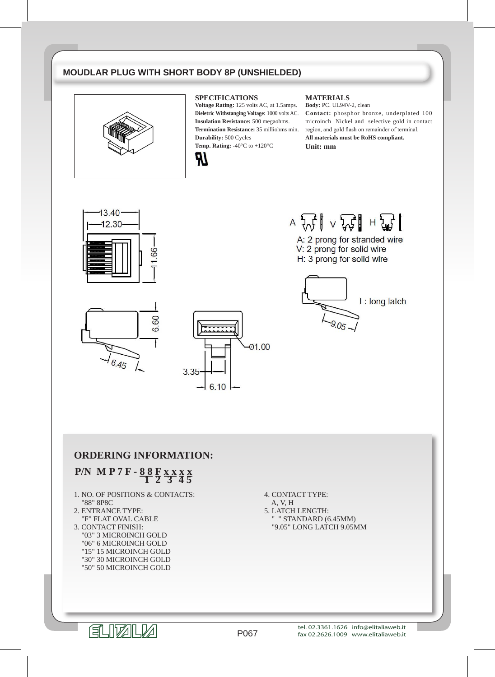## **MOUDLAR PLUG WITH SHORT BODY 8P (UNSHIELDED)**



#### **SPECIFICATIONS**

**Voltage Rating:** 125 volts AC, at 1.5amps. **Dieletric Withstanging Voltage:** 1000 volts AC. **Insulation Resistance:** 500 megaohms. **Termination Resistance:** 35 milliohms min. **Durability:** 500 Cycles **Temp. Rating:** -40°C to +120°C



#### **MATERIALS**

**Body:** PC. UL94V-2, clean **Contact:** phosphor bronze, underplated 100 microinch Nickel and selective gold in contact region, and gold flash on remainder of terminal. **All materials must be RoHS compliant. Unit: mm**





A: 2 prong for stranded wire V: 2 prong for solid wire H: 3 prong for solid wire



60  $\ddot{\circ}$ 6.45



### **ORDERING INFORMATION:**

## **P/N M P 7 F - 8 8 <sup>F</sup> x x <sup>x</sup> x 1 2 3 4 5**

- 1. NO. OF POSITIONS & CONTACTS: "88" 8P8C
- 2. ENTRANCE TYPE: "F" FLAT OVAL CABLE
- 3. CONTACT FINISH: "03" 3 MICROINCH GOLD "06" 6 MICROINCH GOLD "15" 15 MICROINCH GOLD "30" 30 MICROINCH GOLD "50" 50 MICROINCH GOLD

- A, V, H
- 5. LATCH LENGTH: " " STANDARD (6.45MM) "9.05" LONG LATCH 9.05MM



P067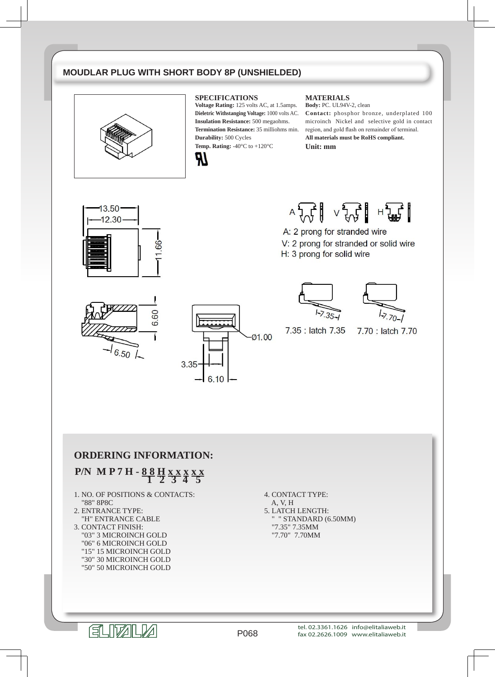## **MOUDLAR PLUG WITH SHORT BODY 8P (UNSHIELDED)**



#### **SPECIFICATIONS**

**Voltage Rating:** 125 volts AC, at 1.5amps. **Dieletric Withstanging Voltage:** 1000 volts AC. **Insulation Resistance:** 500 megaohms. **Termination Resistance:** 35 milliohms min. **Durability:** 500 Cycles **Temp. Rating:** -40°C to +120°C



#### **MATERIALS**

**Body:** PC. UL94V-2, clean **Contact:** phosphor bronze, underplated 100 microinch Nickel and selective gold in contact region, and gold flash on remainder of terminal. **All materials must be RoHS compliant. Unit: mm**





A: 2 prong for stranded wire V: 2 prong for stranded or solid wire H: 3 prong for solid wire









7.35 : latch 7.35

7.70 : latch 7.70

**ORDERING INFORMATION:**

## **P/N M P 7 H - 8 8 <sup>H</sup> x x <sup>x</sup> x x 1 2 3 4 5**

- 1. NO. OF POSITIONS & CONTACTS: "88" 8P8C
- 2. ENTRANCE TYPE: "H" ENTRANCE CABLE
- 3. CONTACT FINISH: "03" 3 MICROINCH GOLD "06" 6 MICROINCH GOLD "15" 15 MICROINCH GOLD "30" 30 MICROINCH GOLD "50" 50 MICROINCH GOLD

4. CONTACT TYPE: A, V, H 5. LATCH LENGTH: " " STANDARD (6.50MM) "7.35" 7.35MM "7.70" 7.70MM

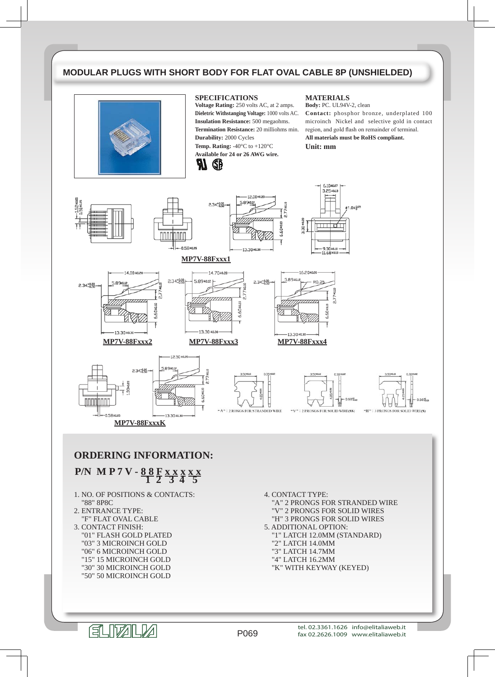## **MODULAR PLUGS WITH SHORT BODY FOR FLAT OVAL CABLE 8P (UNSHIELDED)**



#### **SPECIFICATIONS**

Я

GĐ

**Voltage Rating:** 250 volts AC, at 2 amps. **Dieletric Withstanging Voltage:** 1000 volts AC. **Insulation Resistance:** 500 megaohms. **Termination Resistance:** 20 milliohms min. **Durability:** 2000 Cycles **Temp. Rating:** -40°C to +120°C **Available for 24 or 26 AWG wire.**

#### **MATERIALS**

**Body:** PC. UL94V-2, clean **Contact:** phosphor bronze, underplated 100 microinch Nickel and selective gold in contact region, and gold flash on remainder of terminal. **All materials must be RoHS compliant.**

**Unit: mm**



P069

- "15" 15 MICROINCH GOLD "30" 30 MICROINCH GOLD
- "50" 50 MICROINCH GOLD

ELIZELLA

tel. 02.3361.1626 info@elitaliaweb.it fax 02.2626.1009 www.elitaliaweb.it

"K" WITH KEYWAY (KEYED)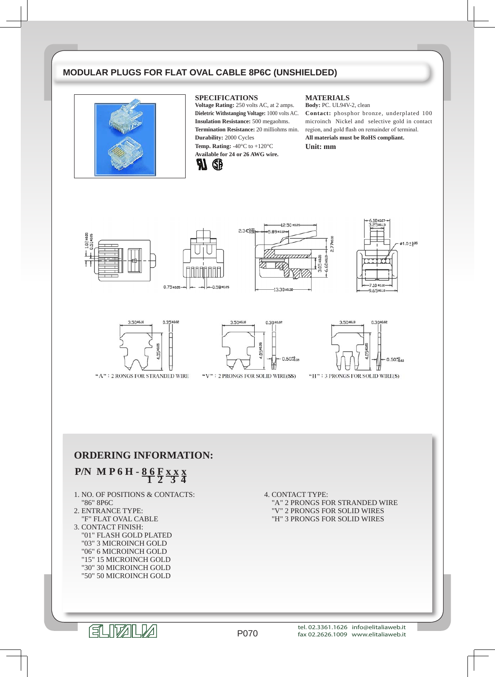### **MODULAR PLUGS FOR FLAT OVAL CABLE 8P6C (UNSHIELDED)**



#### **SPECIFICATIONS**

**Voltage Rating:** 250 volts AC, at 2 amps. **Dieletric Withstanging Voltage:** 1000 volts AC. **Insulation Resistance:** 500 megaohms. **Termination Resistance:** 20 milliohms min. **Durability:** 2000 Cycles **Temp. Rating:** -40°C to +120°C **Available for 24 or 26 AWG wire.**



#### **MATERIALS**

 $2.774010$ 

**Body:** PC. UL94V-2, clean **Contact:** phosphor bronze, underplated 100 microinch Nickel and selective gold in contact region, and gold flash on remainder of terminal. **All materials must be RoHS compliant. Unit: mm**











3.50±0.10  $0.30$ 10.05  $0.50^{+0}_{-0.02}$ 

"V": 2 PRONGS FOR SOLID WIRE(SS)



"H": 3 PRONGS FOR SOLID WIRE(S)

## **ORDERING INFORMATION:**

# **P/N M P 6 H - 8 6 <sup>F</sup> x x x 1 2 3 4**

- 1. NO. OF POSITIONS & CONTACTS: "86" 8P6C
- 2. ENTRANCE TYPE: "F" FLAT OVAL CABLE
- 3. CONTACT FINISH: "01" FLASH GOLD PLATED "03" 3 MICROINCH GOLD "06" 6 MICROINCH GOLD "15" 15 MICROINCH GOLD "30" 30 MICROINCH GOLD "50" 50 MICROINCH GOLD

4. CONTACT TYPE: "A" 2 PRONGS FOR STRANDED WIRE "V" 2 PRONGS FOR SOLID WIRES "H" 3 PRONGS FOR SOLID WIRES